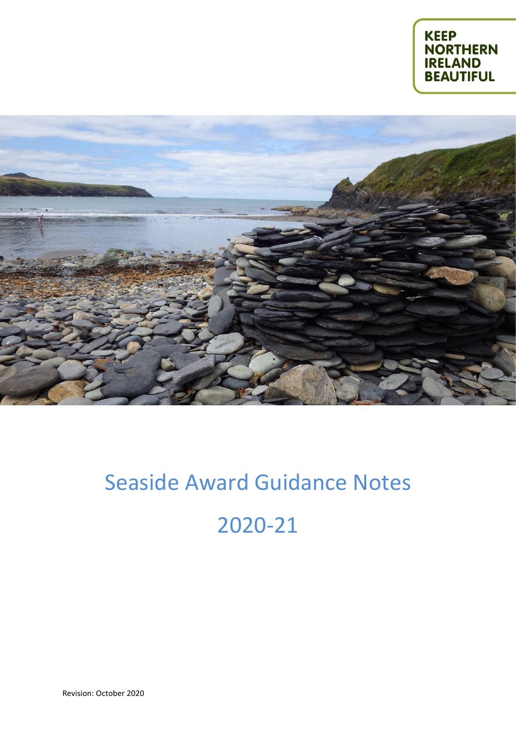



# Seaside Award Guidance Notes 2020-21

Revision: October 2020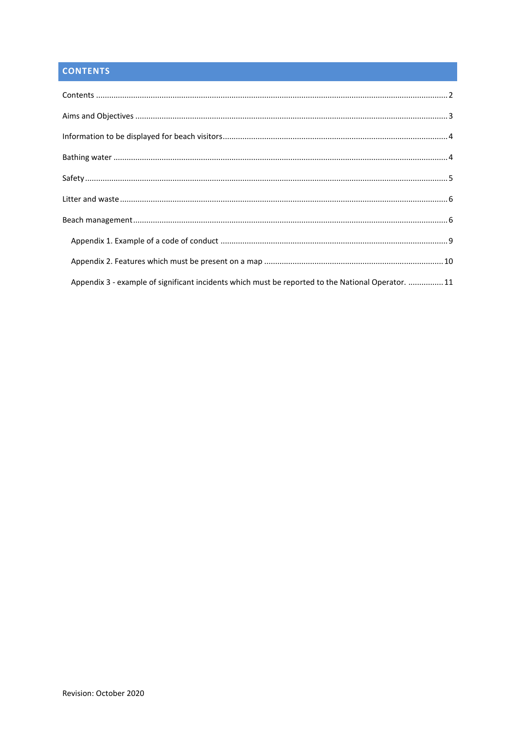# <span id="page-1-0"></span>**CONTENTS**

| Appendix 3 - example of significant incidents which must be reported to the National Operator. 11 |  |
|---------------------------------------------------------------------------------------------------|--|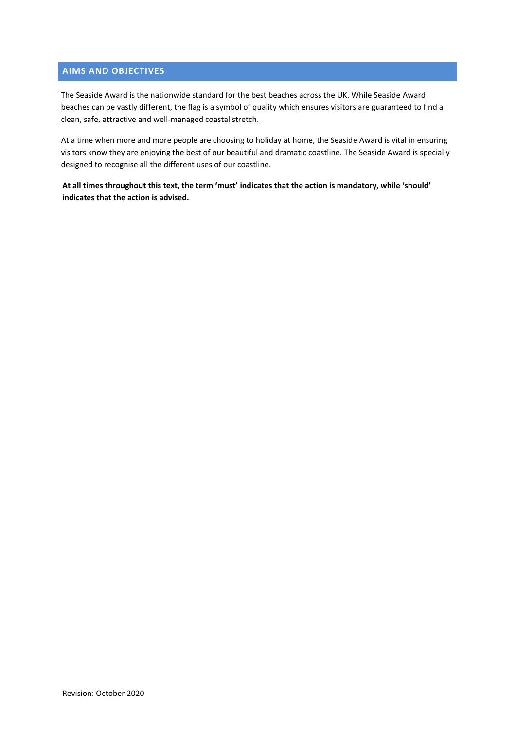# <span id="page-2-0"></span>**AIMS AND OBJECTIVES**

The Seaside Award is the nationwide standard for the best beaches across the UK. While Seaside Award beaches can be vastly different, the flag is a symbol of quality which ensures visitors are guaranteed to find a clean, safe, attractive and well-managed coastal stretch.

At a time when more and more people are choosing to holiday at home, the Seaside Award is vital in ensuring visitors know they are enjoying the best of our beautiful and dramatic coastline. The Seaside Award is specially designed to recognise all the different uses of our coastline.

**At all times throughout this text, the term 'must' indicates that the action is mandatory, while 'should' indicates that the action is advised.**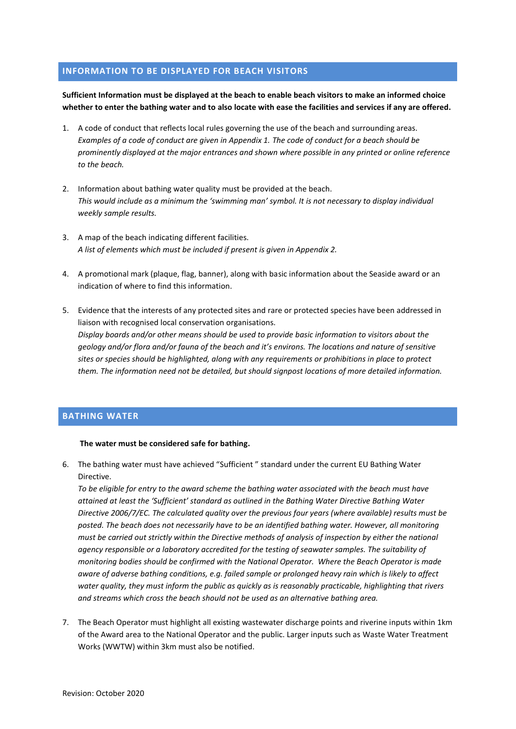# <span id="page-3-0"></span>**INFORMATION TO BE DISPLAYED FOR BEACH VISITORS**

**Sufficient Information must be displayed at the beach to enable beach visitors to make an informed choice whether to enter the bathing water and to also locate with ease the facilities and services if any are offered.**

- 1. A code of conduct that reflects local rules governing the use of the beach and surrounding areas. *Examples of a code of conduct are given in Appendix 1. The code of conduct for a beach should be prominently displayed at the major entrances and shown where possible in any printed or online reference to the beach.*
- 2. Information about bathing water quality must be provided at the beach. *This would include as a minimum the 'swimming man' symbol. It is not necessary to display individual weekly sample results.*
- 3. A map of the beach indicating different facilities. *A list of elements which must be included if present is given in Appendix 2.*
- 4. A promotional mark (plaque, flag, banner), along with basic information about the Seaside award or an indication of where to find this information.
- 5. Evidence that the interests of any protected sites and rare or protected species have been addressed in liaison with recognised local conservation organisations. *Display boards and/or other means should be used to provide basic information to visitors about the geology and/or flora and/or fauna of the beach and it's environs. The locations and nature of sensitive sites or species should be highlighted, along with any requirements or prohibitions in place to protect them. The information need not be detailed, but should signpost locations of more detailed information.*

## <span id="page-3-1"></span>**BATHING WATER**

#### **The water must be considered safe for bathing.**

6. The bathing water must have achieved "Sufficient " standard under the current EU Bathing Water Directive.

*To be eligible for entry to the award scheme the bathing water associated with the beach must have attained at least the 'Sufficient' standard as outlined in the Bathing Water Directive Bathing Water Directive 2006/7/EC. The calculated quality over the previous four years (where available) results must be posted. The beach does not necessarily have to be an identified bathing water. However, all monitoring must be carried out strictly within the Directive methods of analysis of inspection by either the national agency responsible or a laboratory accredited for the testing of seawater samples. The suitability of monitoring bodies should be confirmed with the National Operator. Where the Beach Operator is made aware of adverse bathing conditions, e.g. failed sample or prolonged heavy rain which is likely to affect water quality, they must inform the public as quickly as is reasonably practicable, highlighting that rivers and streams which cross the beach should not be used as an alternative bathing area.*

7. The Beach Operator must highlight all existing wastewater discharge points and riverine inputs within 1km of the Award area to the National Operator and the public. Larger inputs such as Waste Water Treatment Works (WWTW) within 3km must also be notified.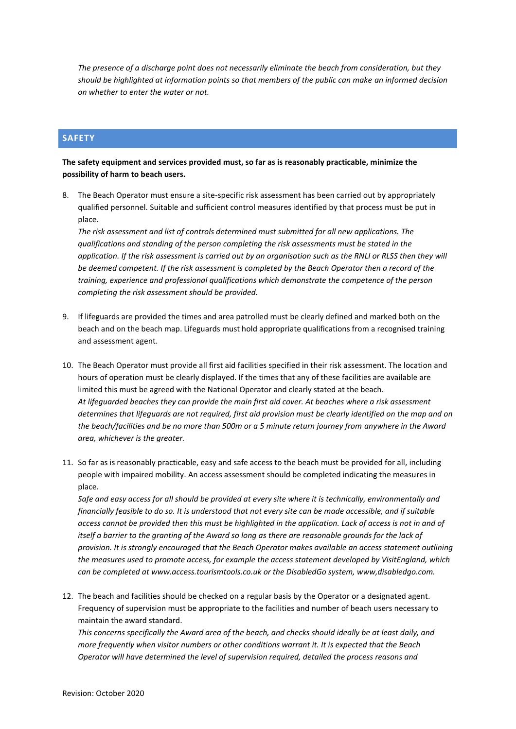*The presence of a discharge point does not necessarily eliminate the beach from consideration, but they should be highlighted at information points so that members of the public can make an informed decision on whether to enter the water or not.*

# <span id="page-4-0"></span>**SAFETY**

**The safety equipment and services provided must, so far as is reasonably practicable, minimize the possibility of harm to beach users.**

8. The Beach Operator must ensure a site-specific risk assessment has been carried out by appropriately qualified personnel. Suitable and sufficient control measures identified by that process must be put in place.

*The risk assessment and list of controls determined must submitted for all new applications. The qualifications and standing of the person completing the risk assessments must be stated in the application. If the risk assessment is carried out by an organisation such as the RNLI or RLSS then they will be deemed competent. If the risk assessment is completed by the Beach Operator then a record of the training, experience and professional qualifications which demonstrate the competence of the person completing the risk assessment should be provided.*

- 9. If lifeguards are provided the times and area patrolled must be clearly defined and marked both on the beach and on the beach map. Lifeguards must hold appropriate qualifications from a recognised training and assessment agent.
- 10. The Beach Operator must provide all first aid facilities specified in their risk assessment. The location and hours of operation must be clearly displayed. If the times that any of these facilities are available are limited this must be agreed with the National Operator and clearly stated at the beach. *At lifeguarded beaches they can provide the main first aid cover. At beaches where a risk assessment determines that lifeguards are not required, first aid provision must be clearly identified on the map and on the beach/facilities and be no more than 500m or a 5 minute return journey from anywhere in the Award area, whichever is the greater.*
- 11. So far as is reasonably practicable, easy and safe access to the beach must be provided for all, including people with impaired mobility. An access assessment should be completed indicating the measures in place.

*Safe and easy access for all should be provided at every site where it is technically, environmentally and financially feasible to do so. It is understood that not every site can be made accessible, and if suitable access cannot be provided then this must be highlighted in the application. Lack of access is not in and of itself a barrier to the granting of the Award so long as there are reasonable grounds for the lack of provision. It is strongly encouraged that the Beach Operator makes available an access statement outlining the measures used to promote access, for example the access statement developed by VisitEngland, which can be completed at www.access.tourismtools.co.uk or the DisabledGo system, www,disabledgo.com.*

12. The beach and facilities should be checked on a regular basis by the Operator or a designated agent. Frequency of supervision must be appropriate to the facilities and number of beach users necessary to maintain the award standard.

*This concerns specifically the Award area of the beach, and checks should ideally be at least daily, and more frequently when visitor numbers or other conditions warrant it. It is expected that the Beach Operator will have determined the level of supervision required, detailed the process reasons and*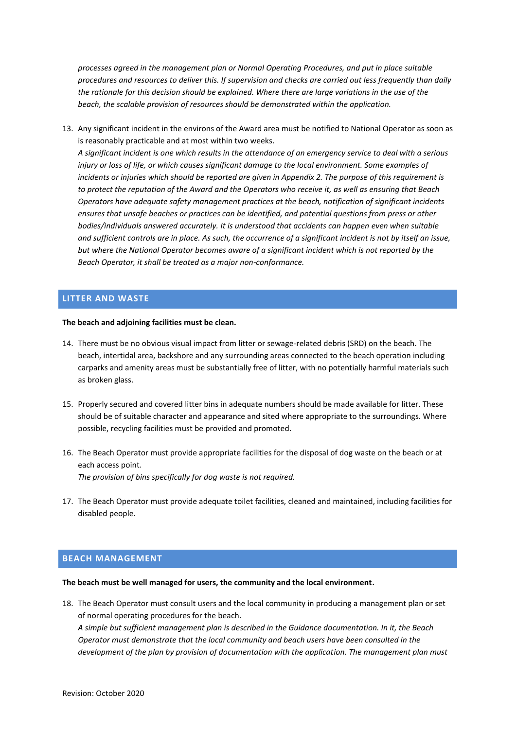*processes agreed in the management plan or Normal Operating Procedures, and put in place suitable procedures and resources to deliver this. If supervision and checks are carried out less frequently than daily the rationale for this decision should be explained. Where there are large variations in the use of the beach, the scalable provision of resources should be demonstrated within the application.* 

13. Any significant incident in the environs of the Award area must be notified to National Operator as soon as is reasonably practicable and at most within two weeks.

*A significant incident is one which results in the attendance of an emergency service to deal with a serious injury or loss of life, or which causes significant damage to the local environment. Some examples of incidents or injuries which should be reported are given in Appendix 2. The purpose of this requirement is to protect the reputation of the Award and the Operators who receive it, as well as ensuring that Beach Operators have adequate safety management practices at the beach, notification of significant incidents ensures that unsafe beaches or practices can be identified, and potential questions from press or other bodies/individuals answered accurately. It is understood that accidents can happen even when suitable and sufficient controls are in place. As such, the occurrence of a significant incident is not by itself an issue, but where the National Operator becomes aware of a significant incident which is not reported by the Beach Operator, it shall be treated as a major non-conformance.*

# <span id="page-5-0"></span>**LITTER AND WASTE**

#### **The beach and adjoining facilities must be clean.**

- 14. There must be no obvious visual impact from litter or sewage-related debris (SRD) on the beach. The beach, intertidal area, backshore and any surrounding areas connected to the beach operation including carparks and amenity areas must be substantially free of litter, with no potentially harmful materials such as broken glass.
- 15. Properly secured and covered litter bins in adequate numbers should be made available for litter. These should be of suitable character and appearance and sited where appropriate to the surroundings. Where possible, recycling facilities must be provided and promoted.
- 16. The Beach Operator must provide appropriate facilities for the disposal of dog waste on the beach or at each access point. *The provision of bins specifically for dog waste is not required.*
- 17. The Beach Operator must provide adequate toilet facilities, cleaned and maintained, including facilities for disabled people.

### <span id="page-5-1"></span>**BEACH MANAGEMENT**

#### **The beach must be well managed for users, the community and the local environment.**

18. The Beach Operator must consult users and the local community in producing a management plan or set of normal operating procedures for the beach.

*A simple but sufficient management plan is described in the Guidance documentation. In it, the Beach Operator must demonstrate that the local community and beach users have been consulted in the development of the plan by provision of documentation with the application. The management plan must*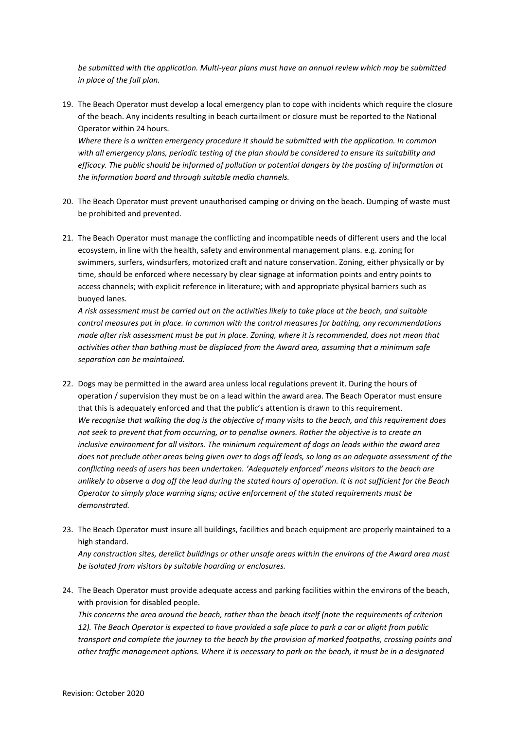*be submitted with the application. Multi-year plans must have an annual review which may be submitted in place of the full plan.*

19. The Beach Operator must develop a local emergency plan to cope with incidents which require the closure of the beach. Any incidents resulting in beach curtailment or closure must be reported to the National Operator within 24 hours.

*Where there is a written emergency procedure it should be submitted with the application. In common with all emergency plans, periodic testing of the plan should be considered to ensure its suitability and efficacy. The public should be informed of pollution or potential dangers by the posting of information at the information board and through suitable media channels.*

- 20. The Beach Operator must prevent unauthorised camping or driving on the beach. Dumping of waste must be prohibited and prevented.
- 21. The Beach Operator must manage the conflicting and incompatible needs of different users and the local ecosystem, in line with the health, safety and environmental management plans. e.g. zoning for swimmers, surfers, windsurfers, motorized craft and nature conservation. Zoning, either physically or by time, should be enforced where necessary by clear signage at information points and entry points to access channels; with explicit reference in literature; with and appropriate physical barriers such as buoyed lanes.

*A risk assessment must be carried out on the activities likely to take place at the beach, and suitable control measures put in place. In common with the control measures for bathing, any recommendations made after risk assessment must be put in place. Zoning, where it is recommended, does not mean that activities other than bathing must be displaced from the Award area, assuming that a minimum safe separation can be maintained.*

- 22. Dogs may be permitted in the award area unless local regulations prevent it. During the hours of operation / supervision they must be on a lead within the award area. The Beach Operator must ensure that this is adequately enforced and that the public's attention is drawn to this requirement. *We recognise that walking the dog is the objective of many visits to the beach, and this requirement does not seek to prevent that from occurring, or to penalise owners. Rather the objective is to create an inclusive environment for all visitors. The minimum requirement of dogs on leads within the award area does not preclude other areas being given over to dogs off leads, so long as an adequate assessment of the conflicting needs of users has been undertaken. 'Adequately enforced' means visitors to the beach are unlikely to observe a dog off the lead during the stated hours of operation. It is not sufficient for the Beach Operator to simply place warning signs; active enforcement of the stated requirements must be demonstrated.*
- 23. The Beach Operator must insure all buildings, facilities and beach equipment are properly maintained to a high standard.

*Any construction sites, derelict buildings or other unsafe areas within the environs of the Award area must be isolated from visitors by suitable hoarding or enclosures.* 

24. The Beach Operator must provide adequate access and parking facilities within the environs of the beach, with provision for disabled people.

*This concerns the area around the beach, rather than the beach itself (note the requirements of criterion 12). The Beach Operator is expected to have provided a safe place to park a car or alight from public transport and complete the journey to the beach by the provision of marked footpaths, crossing points and other traffic management options. Where it is necessary to park on the beach, it must be in a designated*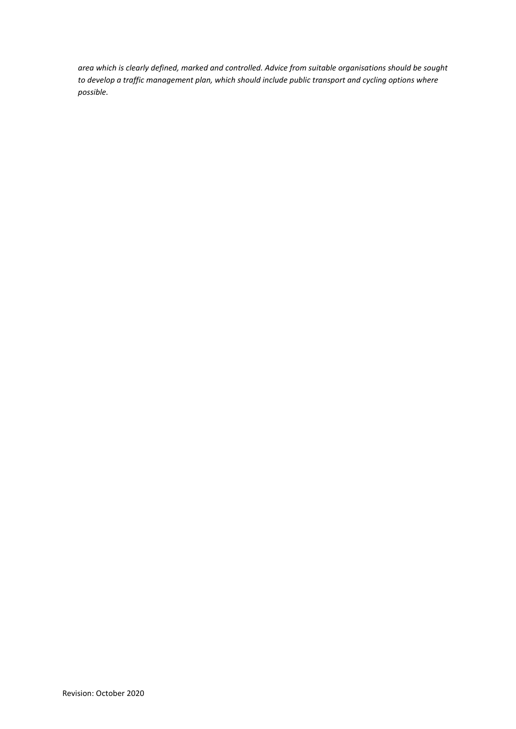*area which is clearly defined, marked and controlled. Advice from suitable organisations should be sought to develop a traffic management plan, which should include public transport and cycling options where possible.*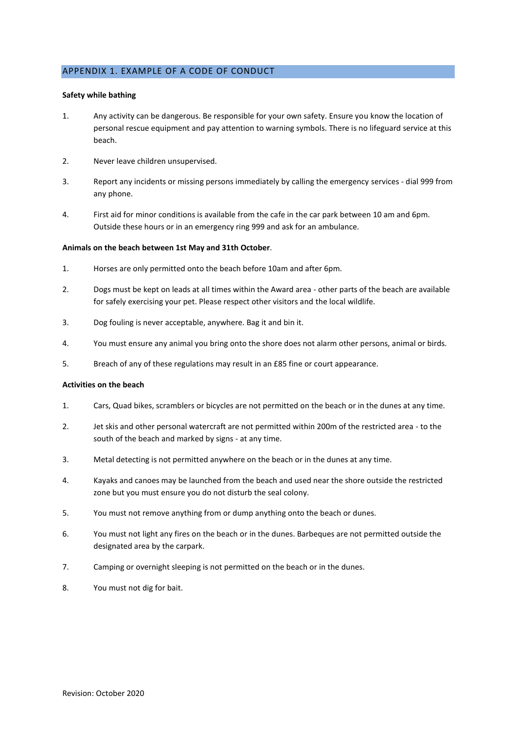# <span id="page-8-0"></span>APPENDIX 1. EXAMPLE OF A CODE OF CONDUCT

#### **Safety while bathing**

- 1. Any activity can be dangerous. Be responsible for your own safety. Ensure you know the location of personal rescue equipment and pay attention to warning symbols. There is no lifeguard service at this beach.
- 2. Never leave children unsupervised.
- 3. Report any incidents or missing persons immediately by calling the emergency services dial 999 from any phone.
- 4. First aid for minor conditions is available from the cafe in the car park between 10 am and 6pm. Outside these hours or in an emergency ring 999 and ask for an ambulance.

#### **Animals on the beach between 1st May and 31th October**.

- 1. Horses are only permitted onto the beach before 10am and after 6pm.
- 2. Dogs must be kept on leads at all times within the Award area other parts of the beach are available for safely exercising your pet. Please respect other visitors and the local wildlife.
- 3. Dog fouling is never acceptable, anywhere. Bag it and bin it.
- 4. You must ensure any animal you bring onto the shore does not alarm other persons, animal or birds.
- 5. Breach of any of these regulations may result in an £85 fine or court appearance.

#### **Activities on the beach**

- 1. Cars, Quad bikes, scramblers or bicycles are not permitted on the beach or in the dunes at any time.
- 2. Jet skis and other personal watercraft are not permitted within 200m of the restricted area to the south of the beach and marked by signs - at any time.
- 3. Metal detecting is not permitted anywhere on the beach or in the dunes at any time.
- 4. Kayaks and canoes may be launched from the beach and used near the shore outside the restricted zone but you must ensure you do not disturb the seal colony.
- 5. You must not remove anything from or dump anything onto the beach or dunes.
- 6. You must not light any fires on the beach or in the dunes. Barbeques are not permitted outside the designated area by the carpark.
- 7. Camping or overnight sleeping is not permitted on the beach or in the dunes.
- 8. You must not dig for bait.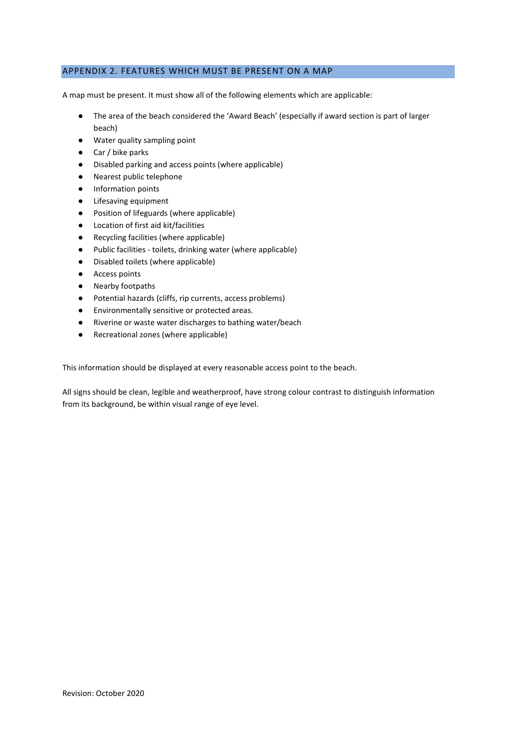# <span id="page-9-0"></span>APPENDIX 2. FEATURES WHICH MUST BE PRESENT ON A MAP

A map must be present. It must show all of the following elements which are applicable:

- The area of the beach considered the 'Award Beach' (especially if award section is part of larger beach)
- Water quality sampling point
- Car / bike parks
- Disabled parking and access points (where applicable)
- Nearest public telephone
- Information points
- Lifesaving equipment
- Position of lifeguards (where applicable)
- Location of first aid kit/facilities
- Recycling facilities (where applicable)
- Public facilities toilets, drinking water (where applicable)
- Disabled toilets (where applicable)
- Access points
- Nearby footpaths
- Potential hazards (cliffs, rip currents, access problems)
- Environmentally sensitive or protected areas.
- Riverine or waste water discharges to bathing water/beach
- Recreational zones (where applicable)

This information should be displayed at every reasonable access point to the beach.

All signs should be clean, legible and weatherproof, have strong colour contrast to distinguish information from its background, be within visual range of eye level.